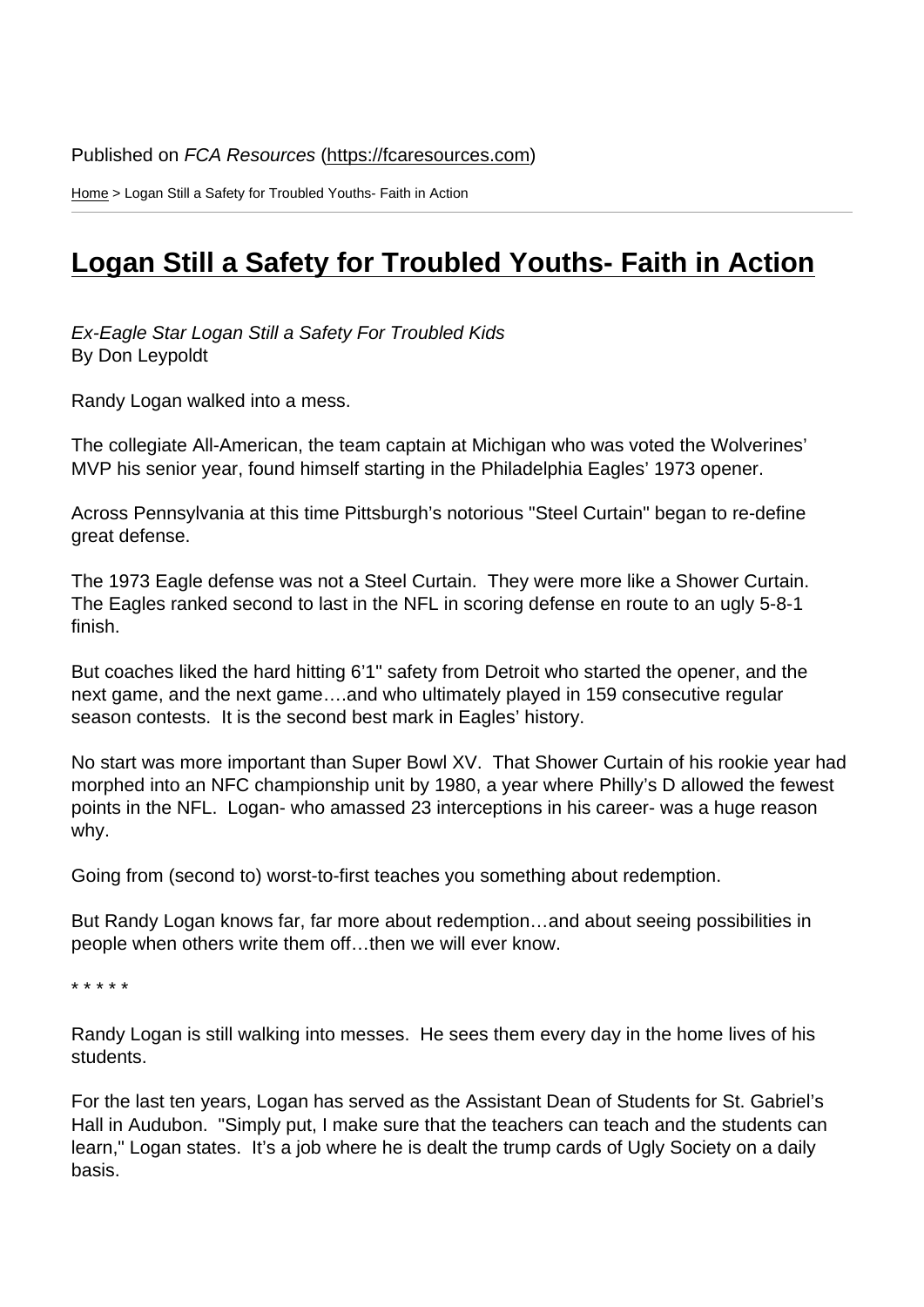Home > Logan Still a Safety for Troubled Youths- Faith in Action

## [Log](https://fcaresources.com/)an Still a Safety for Troubled Youths- Faith in Action

[Ex-Eagle Star Logan Still a Safety For Troubled Kids](https://fcaresources.com/article/logan-still-safety-troubled-youths-faith-action) By Don Leypoldt

Randy Logan walked into a mess.

The collegiate All-American, the team captain at Michigan who was voted the Wolverines' MVP his senior year, found himself starting in the Philadelphia Eagles' 1973 opener.

Across Pennsylvania at this time Pittsburgh's notorious "Steel Curtain" began to re-define great defense.

The 1973 Eagle defense was not a Steel Curtain. They were more like a Shower Curtain. The Eagles ranked second to last in the NFL in scoring defense en route to an ugly 5-8-1 finish.

But coaches liked the hard hitting 6'1" safety from Detroit who started the opener, and the next game, and the next game….and who ultimately played in 159 consecutive regular season contests. It is the second best mark in Eagles' history.

No start was more important than Super Bowl XV. That Shower Curtain of his rookie year had morphed into an NFC championship unit by 1980, a year where Philly's D allowed the fewest points in the NFL. Logan- who amassed 23 interceptions in his career- was a huge reason why.

Going from (second to) worst-to-first teaches you something about redemption.

But Randy Logan knows far, far more about redemption…and about seeing possibilities in people when others write them off…then we will ever know.

\* \* \* \* \*

Randy Logan is still walking into messes. He sees them every day in the home lives of his students.

For the last ten years, Logan has served as the Assistant Dean of Students for St. Gabriel's Hall in Audubon. "Simply put, I make sure that the teachers can teach and the students can learn," Logan states. It's a job where he is dealt the trump cards of Ugly Society on a daily basis.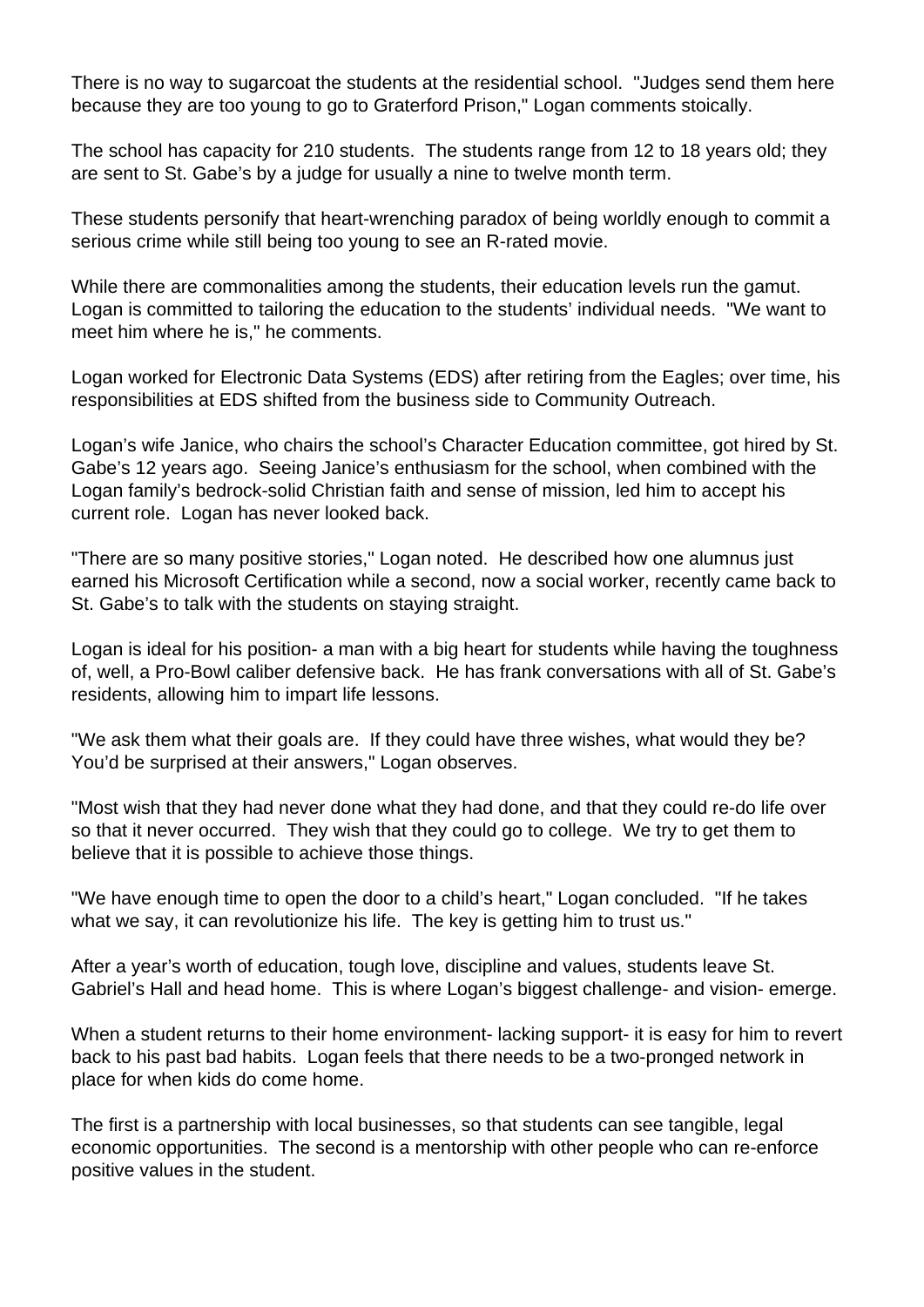There is no way to sugarcoat the students at the residential school. "Judges send them here because they are too young to go to Graterford Prison," Logan comments stoically.

The school has capacity for 210 students. The students range from 12 to 18 years old; they are sent to St. Gabe's by a judge for usually a nine to twelve month term.

These students personify that heart-wrenching paradox of being worldly enough to commit a serious crime while still being too young to see an R-rated movie.

While there are commonalities among the students, their education levels run the gamut. Logan is committed to tailoring the education to the students' individual needs. "We want to meet him where he is," he comments.

Logan worked for Electronic Data Systems (EDS) after retiring from the Eagles; over time, his responsibilities at EDS shifted from the business side to Community Outreach.

Logan's wife Janice, who chairs the school's Character Education committee, got hired by St. Gabe's 12 years ago. Seeing Janice's enthusiasm for the school, when combined with the Logan family's bedrock-solid Christian faith and sense of mission, led him to accept his current role. Logan has never looked back.

"There are so many positive stories," Logan noted. He described how one alumnus just earned his Microsoft Certification while a second, now a social worker, recently came back to St. Gabe's to talk with the students on staying straight.

Logan is ideal for his position- a man with a big heart for students while having the toughness of, well, a Pro-Bowl caliber defensive back. He has frank conversations with all of St. Gabe's residents, allowing him to impart life lessons.

"We ask them what their goals are. If they could have three wishes, what would they be? You'd be surprised at their answers," Logan observes.

"Most wish that they had never done what they had done, and that they could re-do life over so that it never occurred. They wish that they could go to college. We try to get them to believe that it is possible to achieve those things.

"We have enough time to open the door to a child's heart," Logan concluded. "If he takes what we say, it can revolutionize his life. The key is getting him to trust us."

After a year's worth of education, tough love, discipline and values, students leave St. Gabriel's Hall and head home. This is where Logan's biggest challenge- and vision- emerge.

When a student returns to their home environment- lacking support- it is easy for him to revert back to his past bad habits. Logan feels that there needs to be a two-pronged network in place for when kids do come home.

The first is a partnership with local businesses, so that students can see tangible, legal economic opportunities. The second is a mentorship with other people who can re-enforce positive values in the student.